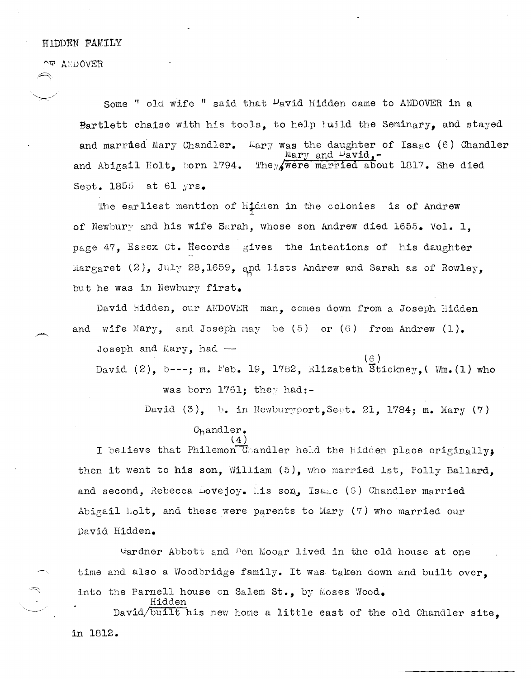## $\sim$  ANDOVER

 $\rightarrow$ 

Some " old wife " said that  $\nu$ avid Hidden came to ANDOVER in a Bartlett chaise with his tools, to help tuild the Seminary, and stayed and married Mary Chandler. Wary was the daughter of Isaac (6) Chandler Mary and  $\nu$ avid, and Abigail Holt, born 1794. 'lhey/were married about 1817. She died Sept. 1855 at 61 yrs.

'Ine earliest mention of Hidden in the colonies is of Andrew of Newbury and his wife Sarah, whose son Andrew died 1655. Vol. 1, page 47, Essex ct. Records gives the intentions of his daughter Margaret  $(2)$ , July 28,1659, and lists Andrew and Sarah as of Rowley, but he was in Newbury first.

David Hidden, our ANDOVER man, comes down from a Joseph Hidden and wife Mary, and Joseph may be  $(5)$  or  $(6)$  from Andrew  $(1)$ .

Joseph and Mary, had  $-$ 

Hidden

David (2), b---; m. Feb. 19, 1782, Elizabeth Stickney, (Wm.  $(1)$  who was born  $1761$ : they had:-

David  $(3)$ , b. in Newburyport.Sept. 21, 1784; m. Mary (7)

## Chandler.  $\overline{(4)}$

I believe that Philemon Chandler held the Hidden place originally, then it went to his son, William (5), who married lst, Polly Ballard. and second, Rebecca Lovejoy. His son, Isage (6) Chandler married Abigail Holt, and these were parents to Mary  $(7)$  who married our David Hidden.

Gardner Abbott and <sup>B</sup>en Mooar lived in the old house at one time and also a Woodbridge family. It was taken down and built over, into the Parnell house on Salem St., by Moses Wood.

David/built his new home a little east of the old Chandler site. in 1812.